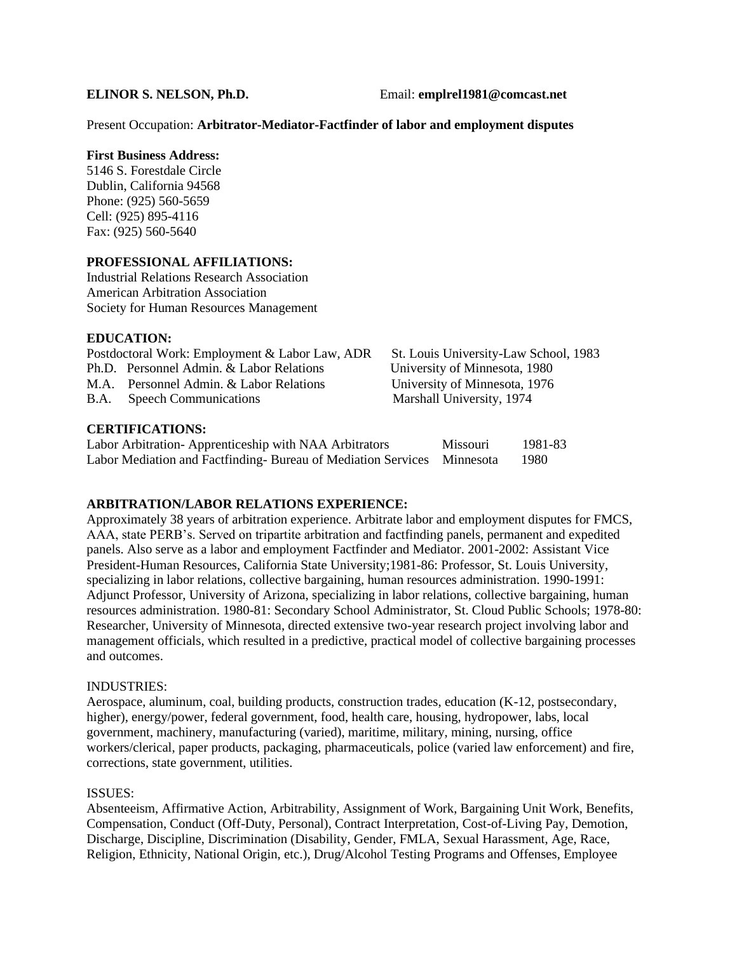### Present Occupation: **Arbitrator-Mediator-Factfinder of labor and employment disputes**

## **First Business Address:**

5146 S. Forestdale Circle Dublin, California 94568 Phone: (925) 560-5659 Cell: (925) 895-4116 Fax: (925) 560-5640

## **PROFESSIONAL AFFILIATIONS:**

Industrial Relations Research Association American Arbitration Association Society for Human Resources Management

## **EDUCATION:**

| Postdoctoral Work: Employment & Labor Law, ADR |                                          | St. Louis University-Law School, 1983 |  |  |
|------------------------------------------------|------------------------------------------|---------------------------------------|--|--|
|                                                | Ph.D. Personnel Admin. & Labor Relations | University of Minnesota, 1980         |  |  |
|                                                | M.A. Personnel Admin. & Labor Relations  | University of Minnesota, 1976         |  |  |
|                                                | B.A. Speech Communications               | Marshall University, 1974             |  |  |
| <b>CERTIFICATIONS:</b>                         |                                          |                                       |  |  |

| Labor Arbitration-Apprenticeship with NAA Arbitrators                  | <b>Missouri</b> | 1981-83 |
|------------------------------------------------------------------------|-----------------|---------|
| Labor Mediation and Factfinding-Bureau of Mediation Services Minnesota |                 | 1980    |

# **ARBITRATION/LABOR RELATIONS EXPERIENCE:**

Approximately 38 years of arbitration experience. Arbitrate labor and employment disputes for FMCS, AAA, state PERB's. Served on tripartite arbitration and factfinding panels, permanent and expedited panels. Also serve as a labor and employment Factfinder and Mediator. 2001-2002: Assistant Vice President-Human Resources, California State University;1981-86: Professor, St. Louis University, specializing in labor relations, collective bargaining, human resources administration. 1990-1991: Adjunct Professor, University of Arizona, specializing in labor relations, collective bargaining, human resources administration. 1980-81: Secondary School Administrator, St. Cloud Public Schools; 1978-80: Researcher, University of Minnesota, directed extensive two-year research project involving labor and management officials, which resulted in a predictive, practical model of collective bargaining processes and outcomes.

#### INDUSTRIES:

Aerospace, aluminum, coal, building products, construction trades, education (K-12, postsecondary, higher), energy/power, federal government, food, health care, housing, hydropower, labs, local government, machinery, manufacturing (varied), maritime, military, mining, nursing, office workers/clerical, paper products, packaging, pharmaceuticals, police (varied law enforcement) and fire, corrections, state government, utilities.

#### ISSUES:

Absenteeism, Affirmative Action, Arbitrability, Assignment of Work, Bargaining Unit Work, Benefits, Compensation, Conduct (Off-Duty, Personal), Contract Interpretation, Cost-of-Living Pay, Demotion, Discharge, Discipline, Discrimination (Disability, Gender, FMLA, Sexual Harassment, Age, Race, Religion, Ethnicity, National Origin, etc.), Drug/Alcohol Testing Programs and Offenses, Employee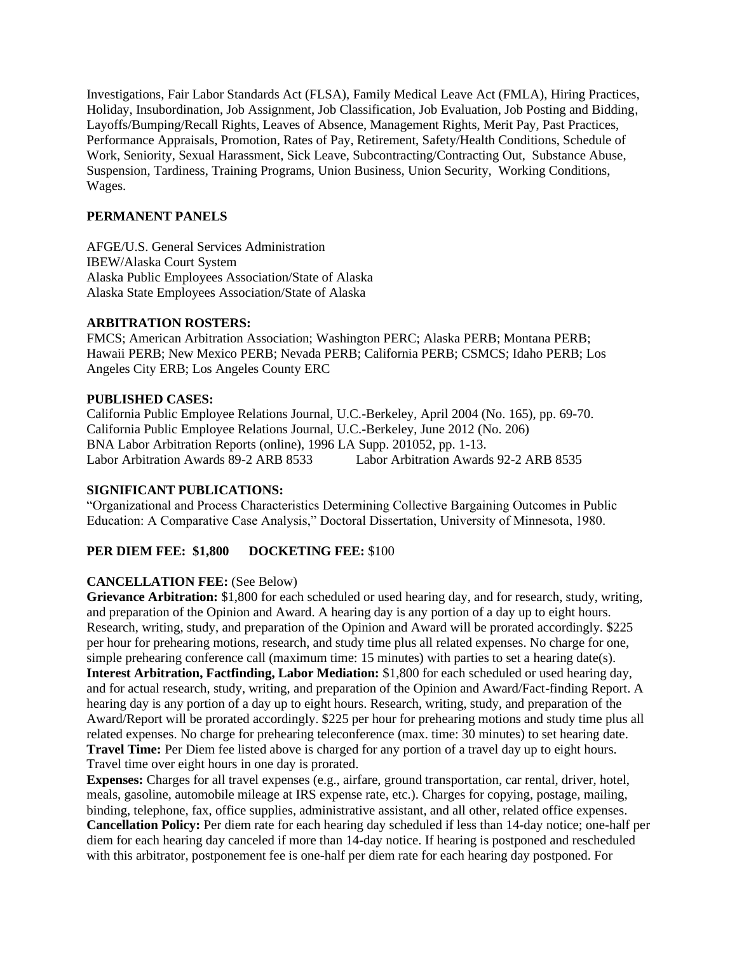Investigations, Fair Labor Standards Act (FLSA), Family Medical Leave Act (FMLA), Hiring Practices, Holiday, Insubordination, Job Assignment, Job Classification, Job Evaluation, Job Posting and Bidding, Layoffs/Bumping/Recall Rights, Leaves of Absence, Management Rights, Merit Pay, Past Practices, Performance Appraisals, Promotion, Rates of Pay, Retirement, Safety/Health Conditions, Schedule of Work, Seniority, Sexual Harassment, Sick Leave, Subcontracting/Contracting Out, Substance Abuse, Suspension, Tardiness, Training Programs, Union Business, Union Security, Working Conditions, Wages.

## **PERMANENT PANELS**

AFGE/U.S. General Services Administration IBEW/Alaska Court System Alaska Public Employees Association/State of Alaska Alaska State Employees Association/State of Alaska

## **ARBITRATION ROSTERS:**

FMCS; American Arbitration Association; Washington PERC; Alaska PERB; Montana PERB; Hawaii PERB; New Mexico PERB; Nevada PERB; California PERB; CSMCS; Idaho PERB; Los Angeles City ERB; Los Angeles County ERC

## **PUBLISHED CASES:**

California Public Employee Relations Journal, U.C.-Berkeley, April 2004 (No. 165), pp. 69-70. California Public Employee Relations Journal, U.C.-Berkeley, June 2012 (No. 206) BNA Labor Arbitration Reports (online), 1996 LA Supp. 201052, pp. 1-13. Labor Arbitration Awards 89-2 ARB 8533 Labor Arbitration Awards 92-2 ARB 8535

# **SIGNIFICANT PUBLICATIONS:**

"Organizational and Process Characteristics Determining Collective Bargaining Outcomes in Public Education: A Comparative Case Analysis," Doctoral Dissertation, University of Minnesota, 1980.

# PER DIEM FEE: \$1,800 DOCKETING FEE: \$100

# **CANCELLATION FEE:** (See Below)

**Grievance Arbitration:** \$1,800 for each scheduled or used hearing day, and for research, study, writing, and preparation of the Opinion and Award. A hearing day is any portion of a day up to eight hours. Research, writing, study, and preparation of the Opinion and Award will be prorated accordingly. \$225 per hour for prehearing motions, research, and study time plus all related expenses. No charge for one, simple prehearing conference call (maximum time: 15 minutes) with parties to set a hearing date(s). **Interest Arbitration, Factfinding, Labor Mediation:** \$1,800 for each scheduled or used hearing day, and for actual research, study, writing, and preparation of the Opinion and Award/Fact-finding Report. A hearing day is any portion of a day up to eight hours. Research, writing, study, and preparation of the Award/Report will be prorated accordingly. \$225 per hour for prehearing motions and study time plus all related expenses. No charge for prehearing teleconference (max. time: 30 minutes) to set hearing date. **Travel Time:** Per Diem fee listed above is charged for any portion of a travel day up to eight hours. Travel time over eight hours in one day is prorated.

**Expenses:** Charges for all travel expenses (e.g., airfare, ground transportation, car rental, driver, hotel, meals, gasoline, automobile mileage at IRS expense rate, etc.). Charges for copying, postage, mailing, binding, telephone, fax, office supplies, administrative assistant, and all other, related office expenses. **Cancellation Policy:** Per diem rate for each hearing day scheduled if less than 14-day notice; one-half per diem for each hearing day canceled if more than 14-day notice. If hearing is postponed and rescheduled with this arbitrator, postponement fee is one-half per diem rate for each hearing day postponed. For